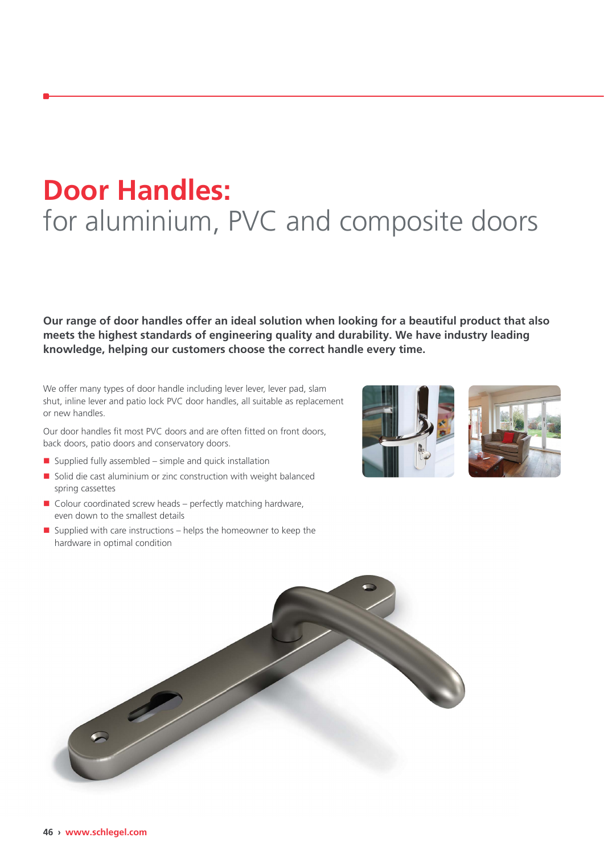## **Door Handles:** for aluminium, PVC and composite doors

**Our range of door handles offer an ideal solution when looking for a beautiful product that also meets the highest standards of engineering quality and durability. We have industry leading knowledge, helping our customers choose the correct handle every time.**

We offer many types of door handle including lever lever, lever pad, slam shut, inline lever and patio lock PVC door handles, all suitable as replacement or new handles.

Our door handles fit most PVC doors and are often fitted on front doors, back doors, patio doors and conservatory doors.

- $\blacksquare$  Supplied fully assembled simple and quick installation
- $\blacksquare$  Solid die cast aluminium or zinc construction with weight balanced spring cassettes
- $\blacksquare$  Colour coordinated screw heads perfectly matching hardware, even down to the smallest details
- $\blacksquare$  Supplied with care instructions helps the homeowner to keep the hardware in optimal condition